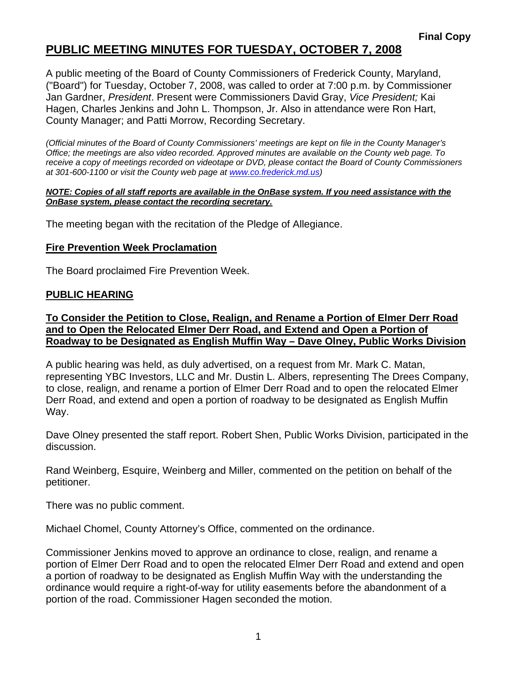A public meeting of the Board of County Commissioners of Frederick County, Maryland, ("Board") for Tuesday, October 7, 2008, was called to order at 7:00 p.m. by Commissioner Jan Gardner, *President*. Present were Commissioners David Gray, *Vice President;* Kai Hagen, Charles Jenkins and John L. Thompson, Jr. Also in attendance were Ron Hart, County Manager; and Patti Morrow, Recording Secretary.

*(Official minutes of the Board of County Commissioners' meetings are kept on file in the County Manager's Office; the meetings are also video recorded. Approved minutes are available on the County web page. To receive a copy of meetings recorded on videotape or DVD, please contact the Board of County Commissioners at 301-600-1100 or visit the County web page at www.co.frederick.md.us)* 

#### *NOTE: Copies of all staff reports are available in the OnBase system. If you need assistance with the OnBase system, please contact the recording secretary.*

The meeting began with the recitation of the Pledge of Allegiance.

#### **Fire Prevention Week Proclamation**

The Board proclaimed Fire Prevention Week.

#### **PUBLIC HEARING**

**To Consider the Petition to Close, Realign, and Rename a Portion of Elmer Derr Road and to Open the Relocated Elmer Derr Road, and Extend and Open a Portion of Roadway to be Designated as English Muffin Way – Dave Olney, Public Works Division**

A public hearing was held, as duly advertised, on a request from Mr. Mark C. Matan, representing YBC Investors, LLC and Mr. Dustin L. Albers, representing The Drees Company, to close, realign, and rename a portion of Elmer Derr Road and to open the relocated Elmer Derr Road, and extend and open a portion of roadway to be designated as English Muffin Way.

Dave Olney presented the staff report. Robert Shen, Public Works Division, participated in the discussion.

Rand Weinberg, Esquire, Weinberg and Miller, commented on the petition on behalf of the petitioner.

There was no public comment.

Michael Chomel, County Attorney's Office, commented on the ordinance.

Commissioner Jenkins moved to approve an ordinance to close, realign, and rename a portion of Elmer Derr Road and to open the relocated Elmer Derr Road and extend and open a portion of roadway to be designated as English Muffin Way with the understanding the ordinance would require a right-of-way for utility easements before the abandonment of a portion of the road. Commissioner Hagen seconded the motion.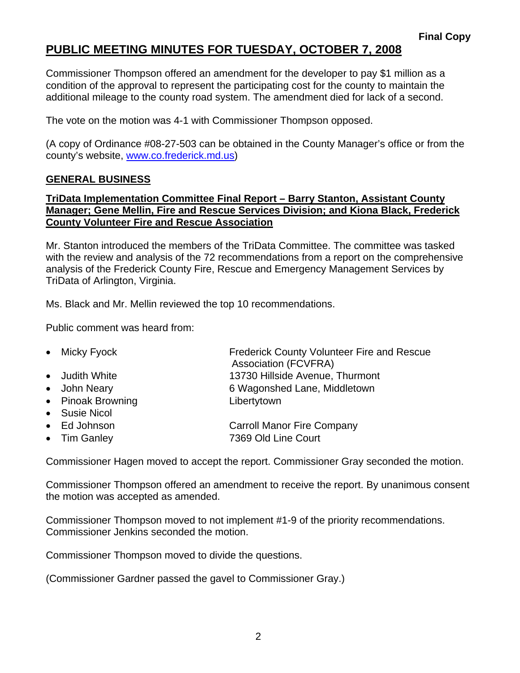Commissioner Thompson offered an amendment for the developer to pay \$1 million as a condition of the approval to represent the participating cost for the county to maintain the additional mileage to the county road system. The amendment died for lack of a second.

The vote on the motion was 4-1 with Commissioner Thompson opposed.

(A copy of Ordinance #08-27-503 can be obtained in the County Manager's office or from the county's website, www.co.frederick.md.us)

### **GENERAL BUSINESS**

### **TriData Implementation Committee Final Report – Barry Stanton, Assistant County Manager; Gene Mellin, Fire and Rescue Services Division; and Kiona Black, Frederick County Volunteer Fire and Rescue Association**

Mr. Stanton introduced the members of the TriData Committee. The committee was tasked with the review and analysis of the 72 recommendations from a report on the comprehensive analysis of the Frederick County Fire, Rescue and Emergency Management Services by TriData of Arlington, Virginia.

Ms. Black and Mr. Mellin reviewed the top 10 recommendations.

Public comment was heard from:

- Micky Fyock **Frederick County Volunteer Fire and Rescue** Association (FCVFRA)
- Judith White 13730 Hillside Avenue, Thurmont
- John Neary **6 Wagonshed Lane, Middletown**
- Pinoak Browning Libertytown
- Susie Nicol
- Ed Johnson **Carroll Manor Fire Company**
- Tim Ganley 7369 Old Line Court

Commissioner Hagen moved to accept the report. Commissioner Gray seconded the motion.

Commissioner Thompson offered an amendment to receive the report. By unanimous consent the motion was accepted as amended.

Commissioner Thompson moved to not implement #1-9 of the priority recommendations. Commissioner Jenkins seconded the motion.

Commissioner Thompson moved to divide the questions.

(Commissioner Gardner passed the gavel to Commissioner Gray.)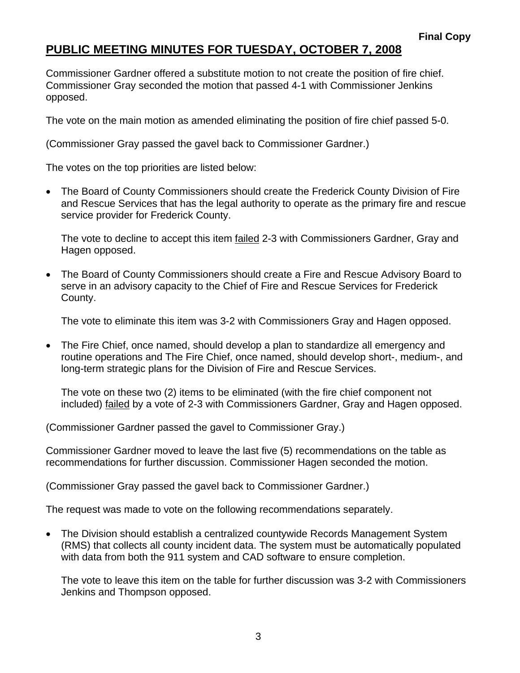Commissioner Gardner offered a substitute motion to not create the position of fire chief. Commissioner Gray seconded the motion that passed 4-1 with Commissioner Jenkins opposed.

The vote on the main motion as amended eliminating the position of fire chief passed 5-0.

(Commissioner Gray passed the gavel back to Commissioner Gardner.)

The votes on the top priorities are listed below:

• The Board of County Commissioners should create the Frederick County Division of Fire and Rescue Services that has the legal authority to operate as the primary fire and rescue service provider for Frederick County.

The vote to decline to accept this item failed 2-3 with Commissioners Gardner, Gray and Hagen opposed.

• The Board of County Commissioners should create a Fire and Rescue Advisory Board to serve in an advisory capacity to the Chief of Fire and Rescue Services for Frederick County.

The vote to eliminate this item was 3-2 with Commissioners Gray and Hagen opposed.

• The Fire Chief, once named, should develop a plan to standardize all emergency and routine operations and The Fire Chief, once named, should develop short-, medium-, and long-term strategic plans for the Division of Fire and Rescue Services.

The vote on these two (2) items to be eliminated (with the fire chief component not included) failed by a vote of 2-3 with Commissioners Gardner, Gray and Hagen opposed.

(Commissioner Gardner passed the gavel to Commissioner Gray.)

Commissioner Gardner moved to leave the last five (5) recommendations on the table as recommendations for further discussion. Commissioner Hagen seconded the motion.

(Commissioner Gray passed the gavel back to Commissioner Gardner.)

The request was made to vote on the following recommendations separately.

• The Division should establish a centralized countywide Records Management System (RMS) that collects all county incident data. The system must be automatically populated with data from both the 911 system and CAD software to ensure completion.

The vote to leave this item on the table for further discussion was 3-2 with Commissioners Jenkins and Thompson opposed.